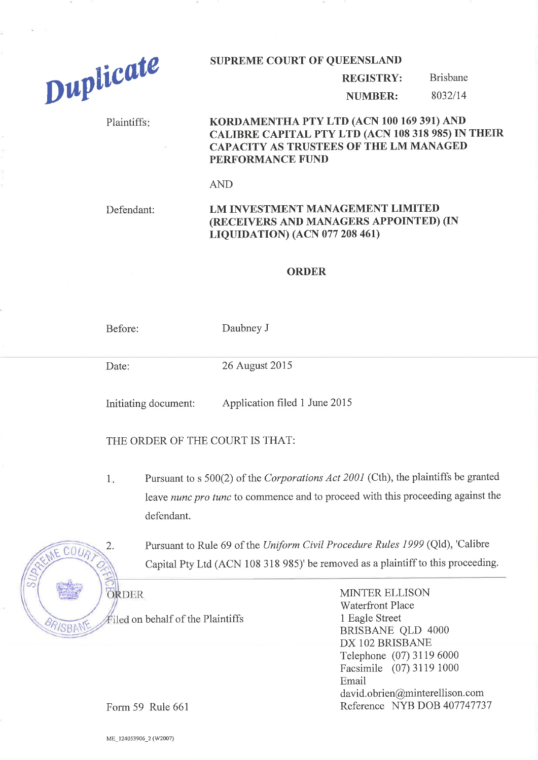

#### SUPREME COURT OF QUEENSLAND

#### REGISTRY: Brisbane

NUMBER:

## Plaintiffs: KORDAMENTHA PTY LTD (ACN 100 169 391) AND CALTBRE CAPTTAL PTY LTD (ACN 108 318 985) IN THEIR CAPACITY AS TRUSTEES OF THE LM MANAGED PERFORMANCE FUND

AND

# Defendant: LM INVESTMENT MANAGEMENT LIMITED (RECEIVERS AND MANAGERS APPOINTED) (IN LTQUTDATION) (ACN 077 208 46t)

### ORDER

Before: Daubney J

Date: 26 August 2015

Initiating document: Application filed 1 June 2015

THE ORDER OF THE COURT IS THAT:

Pursuant to s 500(2) of the Corporations Act 2001 (Cth), the plaintiffs be granted leave nunc pro tunc to commence and to proceed with this proceeding against the defendant.  $1$ 

2. Pursuant to Rule 69 of the Uniform Civil Procedure Rules 1999 (Qld), 'Calibre Capital Pty Ltd (ACN 108 318 985)' be removed as a plaintiff to this proceeding.



filed on behalf of the Plaintiffs

MINTER ELLISON Waterfront Place 1 Eagle Street BRISBANE QLD 4000 DX 102 BRISBANE Telephone (07) 31 19 6000 Facsimile (07) 3119 1000 Email david.obrien@minterellison.com Reference NYB DOB 407147137

Form 59 Rule 661

ME\_124053906\_2 (W2007)